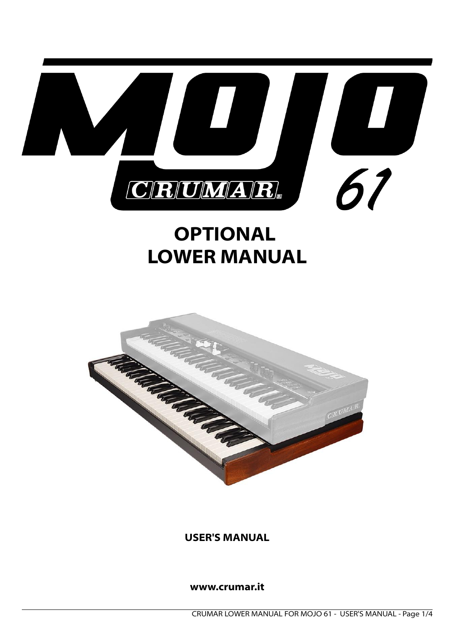

# **OPTIONAL LOWER MANUAL**



**USER'S MANUAL**

#### **www.crumar.it**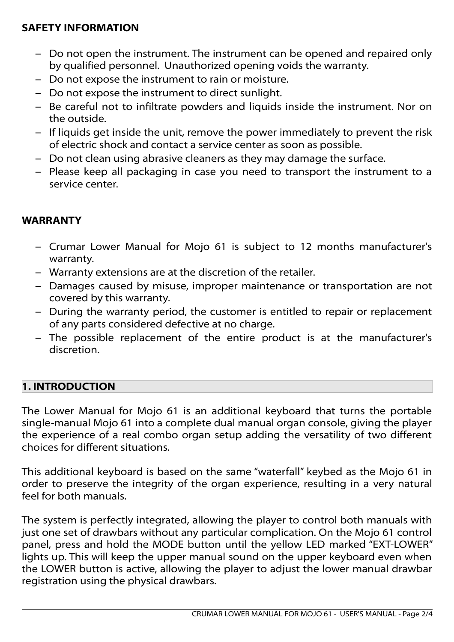## **SAFETY INFORMATION**

- Do not open the instrument. The instrument can be opened and repaired only by qualified personnel. Unauthorized opening voids the warranty.
- Do not expose the instrument to rain or moisture.
- Do not expose the instrument to direct sunlight.
- Be careful not to infiltrate powders and liquids inside the instrument. Nor on the outside.
- If liquids get inside the unit, remove the power immediately to prevent the risk of electric shock and contact a service center as soon as possible.
- Do not clean using abrasive cleaners as they may damage the surface.
- Please keep all packaging in case you need to transport the instrument to a service center.

## **WARRANTY**

- Crumar Lower Manual for Mojo 61 is subject to 12 months manufacturer's warranty.
- Warranty extensions are at the discretion of the retailer.
- Damages caused by misuse, improper maintenance or transportation are not covered by this warranty.
- During the warranty period, the customer is entitled to repair or replacement of any parts considered defective at no charge.
- The possible replacement of the entire product is at the manufacturer's discretion.

## **1. INTRODUCTION**

The Lower Manual for Mojo 61 is an additional keyboard that turns the portable single-manual Mojo 61 into a complete dual manual organ console, giving the player the experience of a real combo organ setup adding the versatility of two different choices for different situations.

This additional keyboard is based on the same "waterfall" keybed as the Mojo 61 in order to preserve the integrity of the organ experience, resulting in a very natural feel for both manuals.

The system is perfectly integrated, allowing the player to control both manuals with just one set of drawbars without any particular complication. On the Mojo 61 control panel, press and hold the MODE button until the yellow LED marked "EXT-LOWER" lights up. This will keep the upper manual sound on the upper keyboard even when the LOWER button is active, allowing the player to adjust the lower manual drawbar registration using the physical drawbars.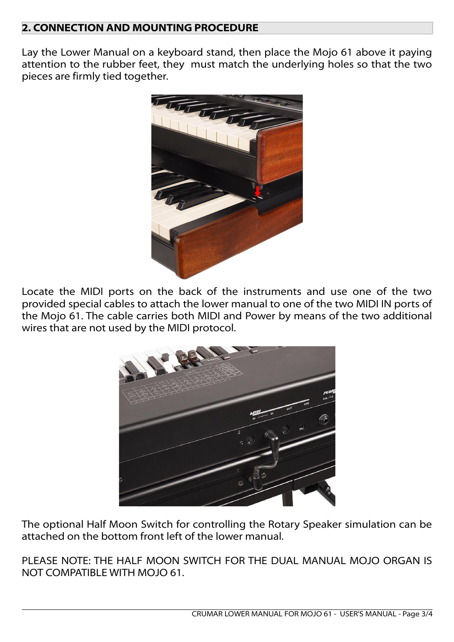## **2. CONNECTION AND MOUNTING PROCEDURE**

Lay the Lower Manual on a keyboard stand, then place the Mojo 61 above it paying attention to the rubber feet, they must match the underlying holes so that the two pieces are firmly tied together.



Locate the MIDI ports on the back of the instruments and use one of the two provided special cables to attach the lower manual to one of the two MIDI IN ports of the Mojo 61. The cable carries both MIDI and Power by means of the two additional wires that are not used by the MIDI protocol.



The optional Half Moon Switch for controlling the Rotary Speaker simulation can be attached on the bottom front left of the lower manual.

PLEASE NOTE: THE HALF MOON SWITCH FOR THE DUAL MANUAL MOJO ORGAN IS NOT COMPATIBLE WITH MOJO 61.